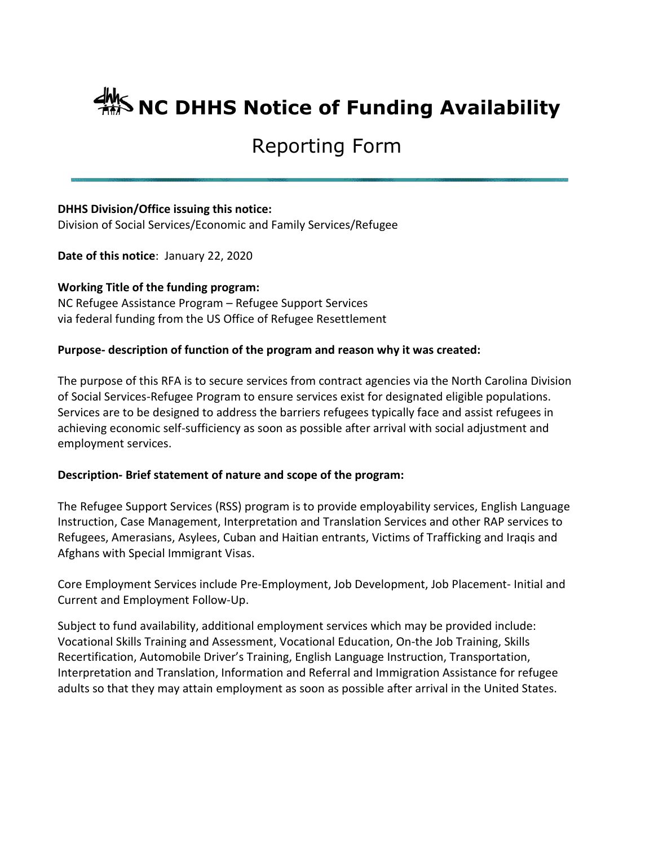# **AMS NC DHHS Notice of Funding Availability**

## Reporting Form

#### **DHHS Division/Office issuing this notice:**

Division of Social Services/Economic and Family Services/Refugee

**Date of this notice**: January 22, 2020

#### **Working Title of the funding program:**

NC Refugee Assistance Program – Refugee Support Services via federal funding from the US Office of Refugee Resettlement

#### **Purpose- description of function of the program and reason why it was created:**

The purpose of this RFA is to secure services from contract agencies via the North Carolina Division of Social Services-Refugee Program to ensure services exist for designated eligible populations. Services are to be designed to address the barriers refugees typically face and assist refugees in achieving economic self-sufficiency as soon as possible after arrival with social adjustment and employment services.

#### **Description- Brief statement of nature and scope of the program:**

The Refugee Support Services (RSS) program is to provide employability services, English Language Instruction, Case Management, Interpretation and Translation Services and other RAP services to Refugees, Amerasians, Asylees, Cuban and Haitian entrants, Victims of Trafficking and Iraqis and Afghans with Special Immigrant Visas.

Core Employment Services include Pre-Employment, Job Development, Job Placement- Initial and Current and Employment Follow-Up.

Subject to fund availability, additional employment services which may be provided include: Vocational Skills Training and Assessment, Vocational Education, On-the Job Training, Skills Recertification, Automobile Driver's Training, English Language Instruction, Transportation, Interpretation and Translation, Information and Referral and Immigration Assistance for refugee adults so that they may attain employment as soon as possible after arrival in the United States.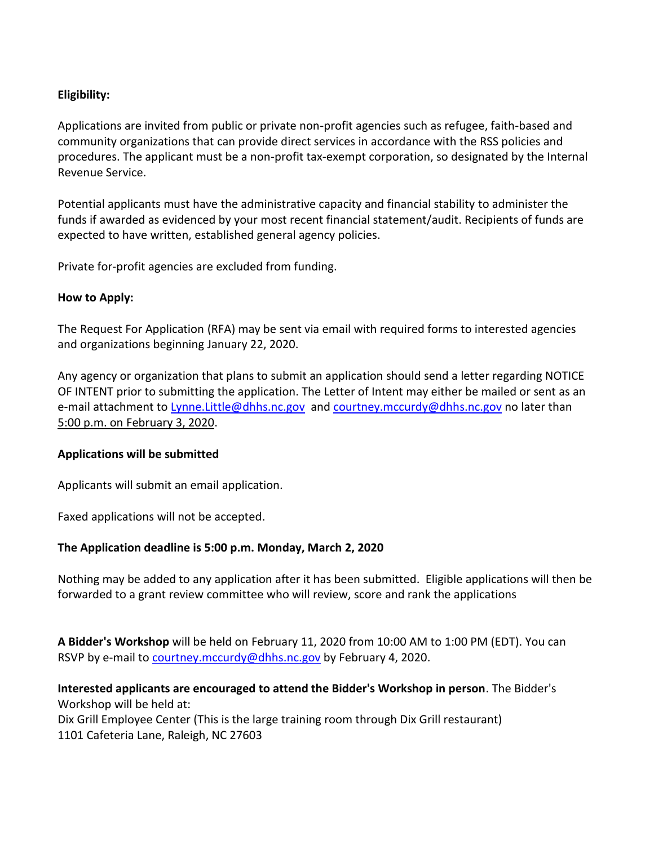#### **Eligibility:**

Applications are invited from public or private non-profit agencies such as refugee, faith-based and community organizations that can provide direct services in accordance with the RSS policies and procedures. The applicant must be a non-profit tax-exempt corporation, so designated by the Internal Revenue Service.

Potential applicants must have the administrative capacity and financial stability to administer the funds if awarded as evidenced by your most recent financial statement/audit. Recipients of funds are expected to have written, established general agency policies.

Private for-profit agencies are excluded from funding.

#### **How to Apply:**

The Request For Application (RFA) may be sent via email with required forms to interested agencies and organizations beginning January 22, 2020.

Any agency or organization that plans to submit an application should send a letter regarding NOTICE OF INTENT prior to submitting the application. The Letter of Intent may either be mailed or sent as an e-mail attachment to Lynne. Little@dhhs.nc.gov and [courtney.mccurdy@dhhs.nc.gov](mailto:courtney.mccurdy@dhhs.nc.gov) no later than 5:00 p.m. on February 3, 2020.

#### **Applications will be submitted**

Applicants will submit an email application.

Faxed applications will not be accepted.

### **The Application deadline is 5:00 p.m. Monday, March 2, 2020**

Nothing may be added to any application after it has been submitted. Eligible applications will then be forwarded to a grant review committee who will review, score and rank the applications

**A Bidder's Workshop** will be held on February 11, 2020 from 10:00 AM to 1:00 PM (EDT). You can RSVP by e-mail to [courtney.mccurdy@dhhs.nc.gov](mailto:courtney.mccurdy@dhhs.nc.gov) by February 4, 2020.

**Interested applicants are encouraged to attend the Bidder's Workshop in person**. The Bidder's Workshop will be held at:

Dix Grill Employee Center (This is the large training room through Dix Grill restaurant) 1101 Cafeteria Lane, Raleigh, NC 27603